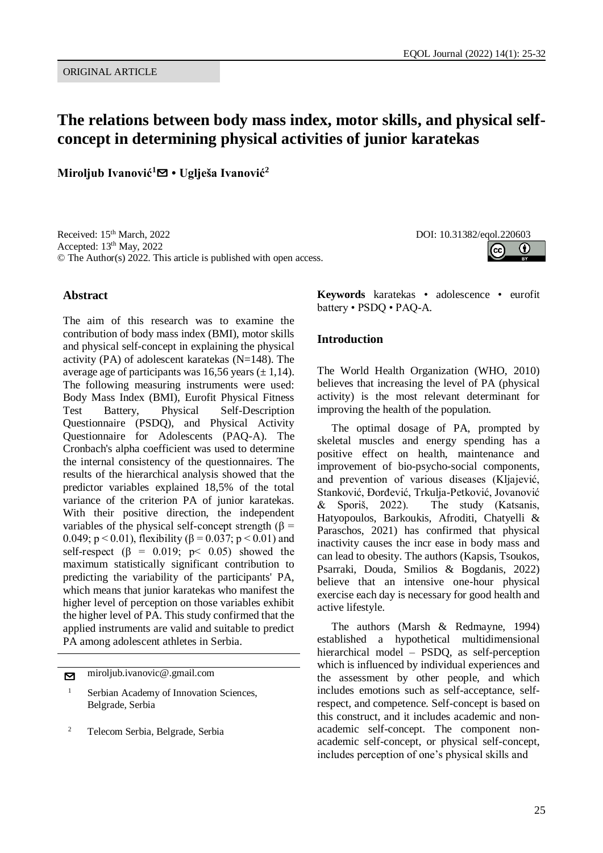G

# **The relations between body mass index, motor skills, and physical selfconcept in determining physical activities of junior karatekas**

**Miroljub Ivanović<sup>1</sup>**[✉](mailto:miroljub.ivanovic@.gmail.com?subject=EQOL%20Journal) **• Uglješa Ivanović<sup>2</sup>**

Received: 15<sup>th</sup> March, 2022 DOI: 10.31382/eqol.220603 Accepted: 13<sup>th</sup> May, 2022 © The Author(s) 2022. This article is published with open access.

#### **Abstract**

The aim of this research was to examine the contribution of body mass index (BMI), motor skills and physical self-concept in explaining the physical activity (PA) of adolescent karatekas (N=148). The average age of participants was 16,56 years  $(\pm 1.14)$ . The following measuring instruments were used: Body Mass Index (BMI), Eurofit Physical Fitness Test Battery, Physical Self-Description Questionnaire (PSDQ), and Physical Activity Questionnaire for Adolescents (PAQ-A). The Cronbach's alpha coefficient was used to determine the internal consistency of the questionnaires. The results of the hierarchical analysis showed that the predictor variables explained 18,5% of the total variance of the criterion PA of junior karatekas. With their positive direction, the independent variables of the physical self-concept strength (β = 0.049;  $p < 0.01$ ), flexibility ( $\beta = 0.037$ ;  $p < 0.01$ ) and self-respect ( $\beta$  = 0.019; p < 0.05) showed the maximum statistically significant contribution to predicting the variability of the participants' PA, which means that junior karatekas who manifest the higher level of perception on those variables exhibit the higher level of PA. This study confirmed that the applied instruments are valid and suitable to predict PA among adolescent athletes in Serbia.

[✉](mailto:miroljub.ivanovic@.gmail.com?subject=EQOL%20Journal) miroljub.ivanovic@.gmail.com

<sup>2</sup> Telecom Serbia, Belgrade, Serbia

**Keywords** karatekas • adolescence • eurofit battery • PSDQ • PAQ-A.

#### **Introduction**

The World Health Organization (WHO, 2010) believes that increasing the level of PA (physical activity) is the most relevant determinant for improving the health of the population.

The optimal dosage of PA, prompted by skeletal muscles and energy spending has a positive effect on health, maintenance and improvement of bio-psycho-social components, and prevention of various diseases (Kljajević, Stanković, Đorđević, Trkulja-Petković, Jovanović & Sporiš, 2022). The study (Katsanis, Hatyopoulos, Barkoukis, Afroditi, Chatyelli & Paraschos, 2021) has confirmed that physical inactivity causes the incr ease in body mass and can lead to obesity. The authors (Kapsis, Tsoukos, Psarraki, Douda, Smilios & Bogdanis, 2022) believe that an intensive one-hour physical exercise each day is necessary for good health and active lifestyle.

The authors (Marsh & Redmayne, 1994) established a hypothetical multidimensional hierarchical model – PSDQ, as self-perception which is influenced by individual experiences and the assessment by other people, and which includes emotions such as self-acceptance, selfrespect, and competence. Self-concept is based on this construct, and it includes academic and nonacademic self-concept. The component nonacademic self-concept, or physical self-concept, includes perception of one's physical skills and

<sup>&</sup>lt;sup>1</sup> Serbian Academy of Innovation Sciences, Belgrade, Serbia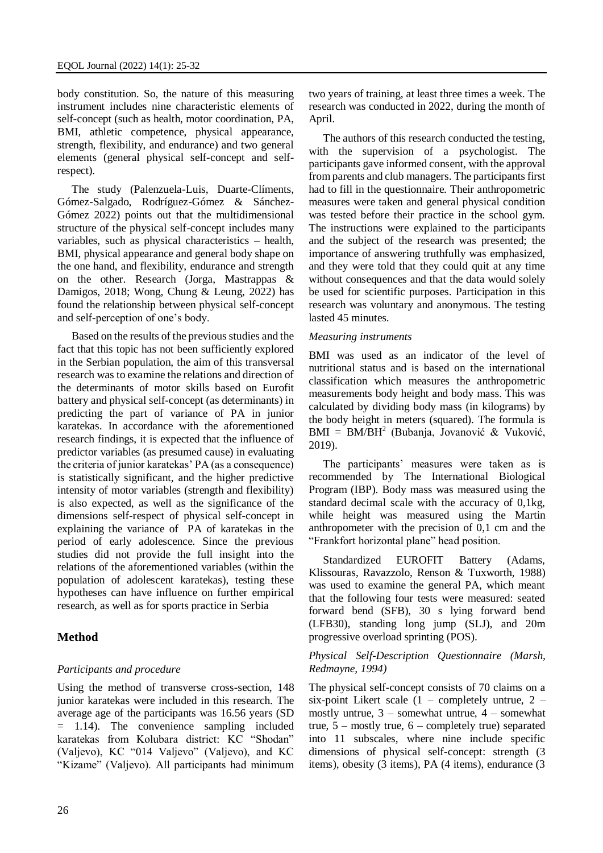body constitution. So, the nature of this measuring instrument includes nine characteristic elements of self-concept (such as health, motor coordination, PA, BMI, athletic competence, physical appearance, strength, flexibility, and endurance) and two general elements (general physical self-concept and selfrespect).

The study (Palenzuela-Luis, Duarte-Clíments, Gómez-Salgado, Rodríguez-Gómez & Sánchez-Gómez 2022) points out that the multidimensional structure of the physical self-concept includes many variables, such as physical characteristics – health, BMI, physical appearance and general body shape on the one hand, and flexibility, endurance and strength on the other. Research (Jorga, Mastrappas & Damigos, 2018; Wong, Chung & Leung, 2022) has found the relationship between physical self-concept and self-perception of one's body.

Based on the results of the previous studies and the fact that this topic has not been sufficiently explored in the Serbian population, the aim of this transversal research was to examine the relations and direction of the determinants of motor skills based on Eurofit battery and physical self-concept (as determinants) in predicting the part of variance of PA in junior karatekas. In accordance with the aforementioned research findings, it is expected that the influence of predictor variables (as presumed cause) in evaluating the criteria of junior karatekas' PA (as a consequence) is statistically significant, and the higher predictive intensity of motor variables (strength and flexibility) is also expected, as well as the significance of the dimensions self-respect of physical self-concept in explaining the variance of PA of karatekas in the period of early adolescence. Since the previous studies did not provide the full insight into the relations of the aforementioned variables (within the population of adolescent karatekas), testing these hypotheses can have influence on further empirical research, as well as for sports practice in Serbia

## **Method**

## *Participants and procedure*

Using the method of transverse cross-section, 148 junior karatekas were included in this research. The average age of the participants was 16.56 years (SD = 1.14). The convenience sampling included karatekas from Kolubara district: KC "Shodan" (Valjevo), KC "014 Valjevo" (Valjevo), and KC "Kizame" (Valjevo). All participants had minimum

26

two years of training, at least three times a week. The research was conducted in 2022, during the month of April.

The authors of this research conducted the testing, with the supervision of a psychologist. The participants gave informed consent, with the approval from parents and club managers. The participants first had to fill in the questionnaire. Their anthropometric measures were taken and general physical condition was tested before their practice in the school gym. The instructions were explained to the participants and the subject of the research was presented; the importance of answering truthfully was emphasized, and they were told that they could quit at any time without consequences and that the data would solely be used for scientific purposes. Participation in this research was voluntary and anonymous. The testing lasted 45 minutes.

#### *Measuring instruments*

BMI was used as an indicator of the level of nutritional status and is based on the international classification which measures the anthropometric measurements body height and body mass. This was calculated by dividing body mass (in kilograms) by the body height in meters (squared). The formula is  $BMI = BM/BH<sup>2</sup>$  (Bubanja, Jovanović & Vuković, 2019).

The participants' measures were taken as is recommended by The International Biological Program (IBP). Body mass was measured using the standard decimal scale with the accuracy of 0,1kg, while height was measured using the Martin anthropometer with the precision of 0,1 cm and the "Frankfort horizontal plane" head position.

Standardized EUROFIT Battery (Adams, Klissouras, Ravazzolo, Renson & Tuxworth, 1988) was used to examine the general PA, which meant that the following four tests were measured: seated forward bend (SFB), 30 s lying forward bend (LFB30), standing long jump (SLJ), and 20m progressive overload sprinting (POS).

#### *Physical Self-Description Questionnaire (Marsh, Redmayne, 1994)*

The physical self-concept consists of 70 claims on a six-point Likert scale  $(1 - \text{completely}$  untrue,  $2$ mostly untrue,  $3$  – somewhat untrue,  $4$  – somewhat true,  $5 -$  mostly true,  $6 -$  completely true) separated into 11 subscales, where nine include specific dimensions of physical self-concept: strength (3 items), obesity (3 items), PA (4 items), endurance (3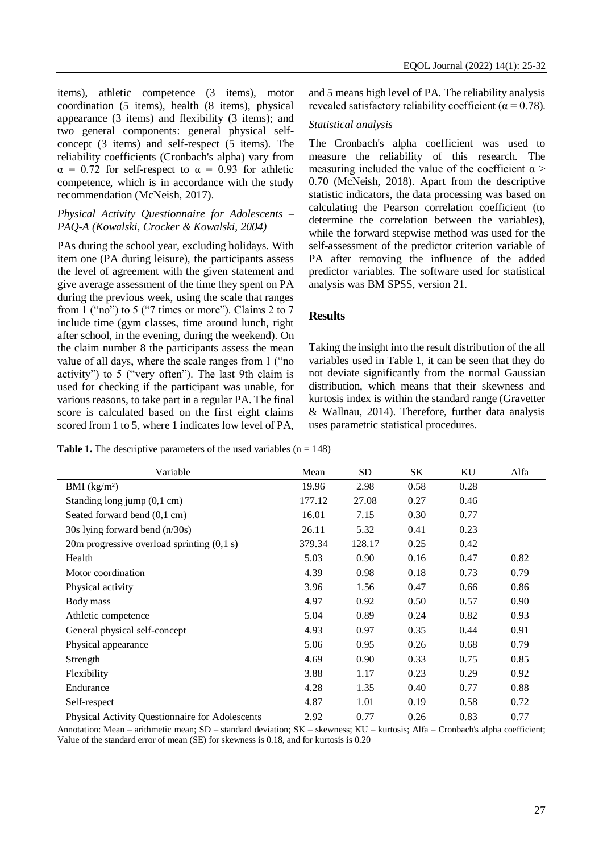items), athletic competence (3 items), motor coordination (5 items), health (8 items), physical appearance (3 items) and flexibility (3 items); and two general components: general physical selfconcept (3 items) and self-respect (5 items). The reliability coefficients (Cronbach's alpha) vary from  $\alpha = 0.72$  for self-respect to  $\alpha = 0.93$  for athletic competence, which is in accordance with the study recommendation (McNeish, 2017).

## *Physical Activity Questionnaire for Adolescents – PAQ-A (Kowalski, Crocker & Kowalski, 2004)*

PAs during the school year, excluding holidays. With item one (PA during leisure), the participants assess the level of agreement with the given statement and give average assessment of the time they spent on PA during the previous week, using the scale that ranges from 1 ("no") to 5 ("7 times or more"). Claims 2 to 7 include time (gym classes, time around lunch, right after school, in the evening, during the weekend). On the claim number 8 the participants assess the mean value of all days, where the scale ranges from 1 ("no activity") to 5 ("very often"). The last 9th claim is used for checking if the participant was unable, for various reasons, to take part in a regular PA. The final score is calculated based on the first eight claims scored from 1 to 5, where 1 indicates low level of PA,

and 5 means high level of PA. The reliability analysis revealed satisfactory reliability coefficient ( $\alpha = 0.78$ ).

## *Statistical analysis*

The Cronbach's alpha coefficient was used to measure the reliability of this research. The measuring included the value of the coefficient  $\alpha$  > 0.70 (McNeish, 2018). Apart from the descriptive statistic indicators, the data processing was based on calculating the Pearson correlation coefficient (to determine the correlation between the variables), while the forward stepwise method was used for the self-assessment of the predictor criterion variable of PA after removing the influence of the added predictor variables. The software used for statistical analysis was BM SPSS, version 21.

## **Results**

Taking the insight into the result distribution of the all variables used in Table 1, it can be seen that they do not deviate significantly from the normal Gaussian distribution, which means that their skewness and kurtosis index is within the standard range (Gravetter & Wallnau, 2014). Therefore, further data analysis uses parametric statistical procedures.

**Table 1.** The descriptive parameters of the used variables  $(n = 148)$ 

| Variable                                        | Mean   | <b>SD</b> | SK   | KU   | Alfa |
|-------------------------------------------------|--------|-----------|------|------|------|
| BMI $(kg/m2)$                                   | 19.96  | 2.98      | 0.58 | 0.28 |      |
| Standing long jump $(0,1 \text{ cm})$           | 177.12 | 27.08     | 0.27 | 0.46 |      |
| Seated forward bend (0,1 cm)                    | 16.01  | 7.15      | 0.30 | 0.77 |      |
| 30s lying forward bend (n/30s)                  | 26.11  | 5.32      | 0.41 | 0.23 |      |
| 20m progressive overload sprinting $(0,1 s)$    | 379.34 | 128.17    | 0.25 | 0.42 |      |
| Health                                          | 5.03   | 0.90      | 0.16 | 0.47 | 0.82 |
| Motor coordination                              | 4.39   | 0.98      | 0.18 | 0.73 | 0.79 |
| Physical activity                               | 3.96   | 1.56      | 0.47 | 0.66 | 0.86 |
| Body mass                                       | 4.97   | 0.92      | 0.50 | 0.57 | 0.90 |
| Athletic competence                             | 5.04   | 0.89      | 0.24 | 0.82 | 0.93 |
| General physical self-concept                   | 4.93   | 0.97      | 0.35 | 0.44 | 0.91 |
| Physical appearance                             | 5.06   | 0.95      | 0.26 | 0.68 | 0.79 |
| Strength                                        | 4.69   | 0.90      | 0.33 | 0.75 | 0.85 |
| Flexibility                                     | 3.88   | 1.17      | 0.23 | 0.29 | 0.92 |
| Endurance                                       | 4.28   | 1.35      | 0.40 | 0.77 | 0.88 |
| Self-respect                                    | 4.87   | 1.01      | 0.19 | 0.58 | 0.72 |
| Physical Activity Questionnaire for Adolescents | 2.92   | 0.77      | 0.26 | 0.83 | 0.77 |

Annotation: Mean – arithmetic mean; SD – standard deviation; SK – skewness; KU – kurtosis; Alfa – Cronbach's alpha coefficient; Value of the standard error of mean (SE) for skewness is 0.18, and for kurtosis is 0.20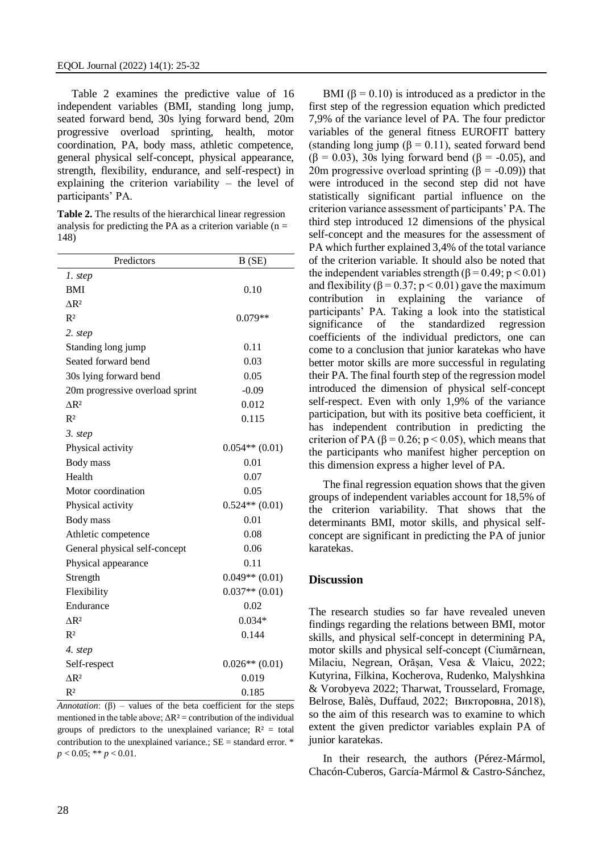Table 2 examines the predictive value of 16 independent variables (BMI, standing long jump, seated forward bend, 30s lying forward bend, 20m progressive overload sprinting, health, motor coordination, PA, body mass, athletic competence, general physical self-concept, physical appearance, strength, flexibility, endurance, and self-respect) in explaining the criterion variability – the level of participants' PA.

**Table 2.** The results of the hierarchical linear regression analysis for predicting the PA as a criterion variable  $(n =$ 148)

| Predictors                      | B(SE)              |  |  |
|---------------------------------|--------------------|--|--|
| 1. step                         |                    |  |  |
| <b>BMI</b>                      | 0.10               |  |  |
| $\triangle$ R <sup>2</sup>      |                    |  |  |
| $R^2$                           | $0.079**$          |  |  |
| 2. step                         |                    |  |  |
| Standing long jump              | 0.11               |  |  |
| Seated forward bend             | 0.03               |  |  |
| 30s lying forward bend          | 0.05               |  |  |
| 20m progressive overload sprint | $-0.09$            |  |  |
| $\triangle$ R <sup>2</sup>      | 0.012              |  |  |
| $R^2$                           | 0.115              |  |  |
| 3. step                         |                    |  |  |
| Physical activity               | $0.054**$ (0.01)   |  |  |
| Body mass                       | 0.01               |  |  |
| Health                          | 0.07               |  |  |
| Motor coordination              | 0.05               |  |  |
| Physical activity               | $0.524**$ (0.01)   |  |  |
| Body mass                       | 0.01               |  |  |
| Athletic competence             | 0.08               |  |  |
| General physical self-concept   | 0.06               |  |  |
| Physical appearance             | 0.11               |  |  |
| Strength                        | $0.049**$ $(0.01)$ |  |  |
| Flexibility                     | $0.037**$ (0.01)   |  |  |
| Endurance                       | 0.02               |  |  |
| $\Delta$ R <sup>2</sup>         | $0.034*$           |  |  |
| $R^2$                           | 0.144              |  |  |
| 4. step                         |                    |  |  |
| Self-respect                    | $0.026**$ (0.01)   |  |  |
| $\triangle$ R <sup>2</sup>      | 0.019              |  |  |
| $R^2$                           | 0.185              |  |  |

*Annotation*:  $(\beta)$  – values of the beta coefficient for the steps mentioned in the table above;  $\Delta R^2$  = contribution of the individual groups of predictors to the unexplained variance;  $R^2 =$  total contribution to the unexplained variance.;  $SE =$  standard error.  $*$  $p < 0.05$ ; \*\*  $p < 0.01$ .

BMI  $(\beta = 0.10)$  is introduced as a predictor in the first step of the regression equation which predicted 7,9% of the variance level of PA. The four predictor variables of the general fitness EUROFIT battery (standing long jump ( $\beta = 0.11$ ), seated forward bend  $(\beta = 0.03)$ , 30s lying forward bend  $(\beta = -0.05)$ , and 20m progressive overload sprinting  $(\beta = -0.09)$  that were introduced in the second step did not have statistically significant partial influence on the criterion variance assessment of participants' PA. The third step introduced 12 dimensions of the physical self-concept and the measures for the assessment of PA which further explained 3,4% of the total variance of the criterion variable. It should also be noted that the independent variables strength ( $\beta$  = 0.49; p < 0.01) and flexibility ( $\beta$  = 0.37; p < 0.01) gave the maximum contribution in explaining the variance of participants' PA. Taking a look into the statistical significance of the standardized regression coefficients of the individual predictors, one can come to a conclusion that junior karatekas who have better motor skills are more successful in regulating their PA. The final fourth step of the regression model introduced the dimension of physical self-concept self-respect. Even with only 1,9% of the variance participation, but with its positive beta coefficient, it has independent contribution in predicting the criterion of PA ( $\beta$  = 0.26; p < 0.05), which means that the participants who manifest higher perception on this dimension express a higher level of PA.

The final regression equation shows that the given groups of independent variables account for 18,5% of the criterion variability. That shows that the determinants BMI, motor skills, and physical selfconcept are significant in predicting the PA of junior karatekas.

#### **Discussion**

The research studies so far have revealed uneven findings regarding the relations between BMI, motor skills, and physical self-concept in determining PA, motor skills and physical self-concept (Ciumărnean, Milaciu, Negrean, Orășan, Vesa & Vlaicu, 2022; Kutyrina, Filkina, Kocherova, Rudenko, Malyshkina & Vorobyeva 2022; Tharwat, Trousselard, Fromage, Belrose, Balès, Duffaud, 2022; Викторовна, 2018), so the aim of this research was to examine to which extent the given predictor variables explain PA of junior karatekas.

In their research, the authors (Pérez-Mármol, Chacón-Cuberos, García-Mármol & Castro-Sánchez,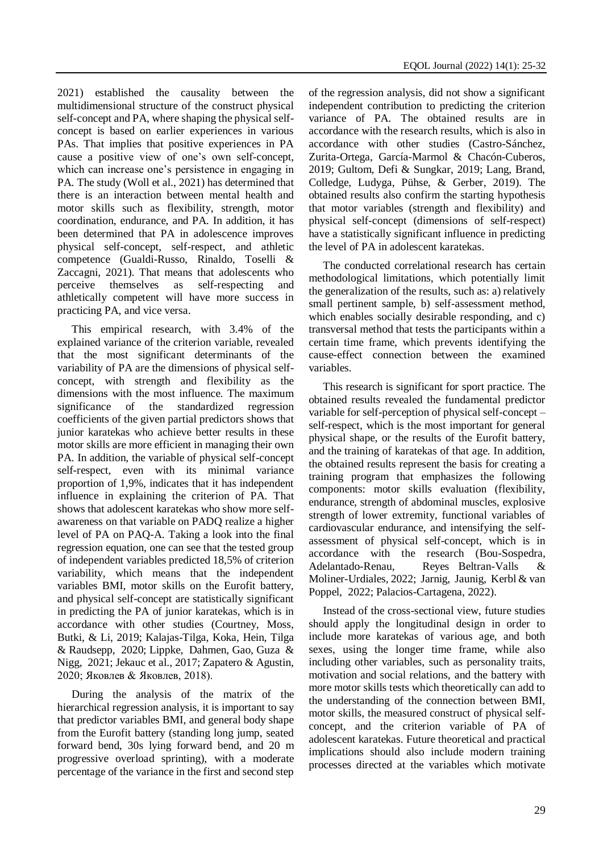2021) established the causality between the multidimensional structure of the construct physical self-concept and PA, where shaping the physical selfconcept is based on earlier experiences in various PAs. That implies that positive experiences in PA cause a positive view of one's own self-concept, which can increase one's persistence in engaging in PA. The study (Woll et al., 2021) has determined that there is an interaction between mental health and motor skills such as flexibility, strength, motor coordination, endurance, and PA. In addition, it has been determined that PA in adolescence improves physical self-concept, self-respect, and athletic competence (Gualdi-Russo, Rinaldo, Toselli & Zaccagni, 2021). That means that adolescents who perceive themselves as self-respecting and athletically competent will have more success in practicing PA, and vice versa.

This empirical research, with 3.4% of the explained variance of the criterion variable, revealed that the most significant determinants of the variability of PA are the dimensions of physical selfconcept, with strength and flexibility as the dimensions with the most influence. The maximum significance of the standardized regression coefficients of the given partial predictors shows that junior karatekas who achieve better results in these motor skills are more efficient in managing their own PA. In addition, the variable of physical self-concept self-respect, even with its minimal variance proportion of 1,9%, indicates that it has independent influence in explaining the criterion of PA. That shows that adolescent karatekas who show more selfawareness on that variable on PADQ realize a higher level of PA on PAQ-A. Taking a look into the final regression equation, one can see that the tested group of independent variables predicted 18,5% of criterion variability, which means that the independent variables BMI, motor skills on the Eurofit battery, and physical self-concept are statistically significant in predicting the PA of junior karatekas, which is in accordance with other studies (Courtney, Moss, Butki, & Li, 2019; Kalajas-Tilga, Koka, Hein, Tilga & Raudsepp, 2020; Lippke, Dahmen, Gao, Guza & Nigg, 2021; Jekauc et al., 2017; Zapatero & Agustin, 2020; Яковлев & Яковлев, 2018).

During the analysis of the matrix of the hierarchical regression analysis, it is important to say that predictor variables BMI, and general body shape from the Eurofit battery (standing long jump, seated forward bend, 30s lying forward bend, and 20 m progressive overload sprinting), with a moderate percentage of the variance in the first and second step

of the regression analysis, did not show a significant independent contribution to predicting the criterion variance of PA. The obtained results are in accordance with the research results, which is also in accordance with other studies (Castro-Sánchez, Zurita-Ortega, García-Marmol & Chacón-Cuberos, 2019; Gultom, Defi & Sungkar, 2019; Lang, Brand, Colledge, Ludyga, Pühse, & Gerber, 2019). The obtained results also confirm the starting hypothesis that motor variables (strength and flexibility) and physical self-concept (dimensions of self-respect) have a statistically significant influence in predicting the level of PA in adolescent karatekas.

The conducted correlational research has certain methodological limitations, which potentially limit the generalization of the results, such as: a) relatively small pertinent sample, b) self-assessment method, which enables socially desirable responding, and c) transversal method that tests the participants within a certain time frame, which prevents identifying the cause-effect connection between the examined variables.

This research is significant for sport practice. The obtained results revealed the fundamental predictor variable for self-perception of physical self-concept – self-respect, which is the most important for general physical shape, or the results of the Eurofit battery, and the training of karatekas of that age. In addition, the obtained results represent the basis for creating a training program that emphasizes the following components: motor skills evaluation (flexibility, endurance, strength of abdominal muscles, explosive strength of lower extremity, functional variables of cardiovascular endurance, and intensifying the selfassessment of physical self-concept, which is in accordance with the research (Bou-Sospedra, Adelantado-Renau, Reyes Beltran-Valls & Moliner-Urdiales, 2022; Jarnig, Jaunig, Kerbl & van Poppel, 2022; Palacios-Cartagena, 2022).

Instead of the cross-sectional view, future studies should apply the longitudinal design in order to include more karatekas of various age, and both sexes, using the longer time frame, while also including other variables, such as personality traits, motivation and social relations, and the battery with more motor skills tests which theoretically can add to the understanding of the connection between BMI, motor skills, the measured construct of physical selfconcept, and the criterion variable of PA of adolescent karatekas. Future theoretical and practical implications should also include modern training processes directed at the variables which motivate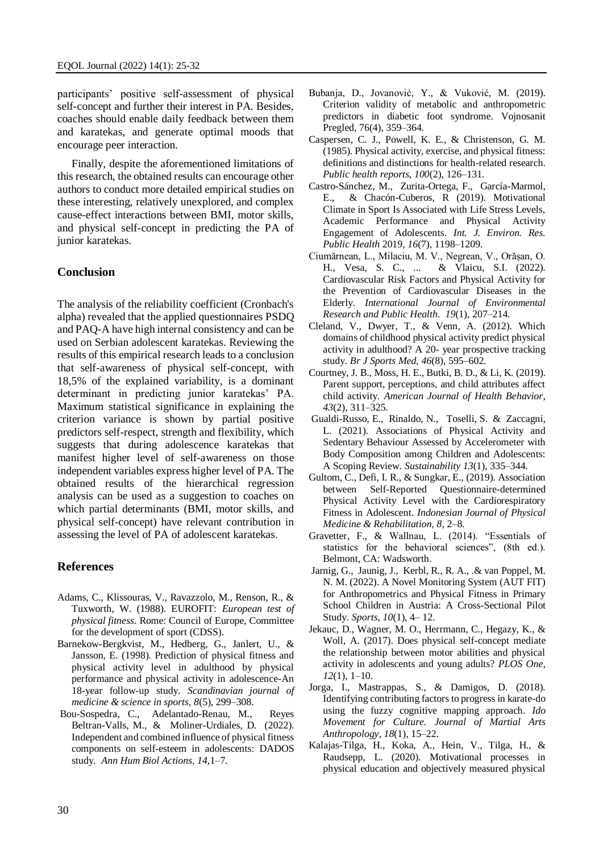participants' positive self-assessment of physical self-concept and further their interest in PA. Besides, coaches should enable daily feedback between them and karatekas, and generate optimal moods that encourage peer interaction.

Finally, despite the aforementioned limitations of this research, the obtained results can encourage other authors to conduct more detailed empirical studies on these interesting, relatively unexplored, and complex cause-effect interactions between BMI, motor skills, and physical self-concept in predicting the PA of junior karatekas.

# **Conclusion**

The analysis of the reliability coefficient (Cronbach's alpha) revealed that the applied questionnaires PSDQ and PAQ-A have high internal consistency and can be used on Serbian adolescent karatekas. Reviewing the results of this empirical research leads to a conclusion that self-awareness of physical self-concept, with 18,5% of the explained variability, is a dominant determinant in predicting junior karatekas' PA. Maximum statistical significance in explaining the criterion variance is shown by partial positive predictors self-respect, strength and flexibility, which suggests that during adolescence karatekas that manifest higher level of self-awareness on those independent variables express higher level of PA. The obtained results of the hierarchical regression analysis can be used as a suggestion to coaches on which partial determinants (BMI, motor skills, and physical self-concept) have relevant contribution in assessing the level of PA of adolescent karatekas.

# **References**

- Adams, C., Klissouras, V., Ravazzolo, M., Renson, R., & Tuxworth, W. (1988). EUROFIT: *European test of physical fitness*. Rome: Council of Europe, Committee for the development of sport (CDSS).
- Barnekow-Bergkvist, M., Hedberg, G., Janlert, U., & Jansson, E. (1998). Prediction of physical fitness and physical activity level in adulthood by physical performance and physical activity in adolescence-An 18-year follow-up study. *Scandinavian journal of medicine & science in sports, 8*(5), 299–308.
- [Bou-Sospedra,](https://pubmed.ncbi.nlm.nih.gov/?term=Bou-Sospedra+C&cauthor_id=35067140) C., [Adelantado-Renau,](https://pubmed.ncbi.nlm.nih.gov/?term=Adelantado-Renau+M&cauthor_id=35067140) M., [Reyes](https://pubmed.ncbi.nlm.nih.gov/?term=Beltran-Valls+MR&cauthor_id=35067140)  [Beltran-Valls,](https://pubmed.ncbi.nlm.nih.gov/?term=Beltran-Valls+MR&cauthor_id=35067140) M., [&](https://pubmed.ncbi.nlm.nih.gov/35067140/#affiliation-1) [Moliner-Urdiales,](https://pubmed.ncbi.nlm.nih.gov/?term=Moliner-Urdiales+D&cauthor_id=35067140) D. (2022). Independent and combined influence of physical fitness components on self-esteem in adolescents: DADOS study. *Ann Hum Biol Actions, 14*,1–7.
- Bubanja, D., Jovanović, Y., & Vuković, M. (2019). Criterion validity of metabolic and anthropometric predictors in diabetic foot syndrome. Vojnosanit Pregled, 76(4), 359–364.
- Caspersen, C. J., Powell, K. E., & Christenson, G. M. (1985). Physical activity, exercise, and physical fitness: definitions and distinctions for health-related research. *Public health reports, 100*(2), 126–131.
- [Castro-Sánchez,](https://sciprofiles.com/profile/392570) M., [Zurita-Ortega,](https://sciprofiles.com/profile/434983) F., [García-Marmol,](https://sciprofiles.com/profile/author/YTV2U0hCVXpDQkpvRTI1NXBmK3BRd1BYS0lqSEJVaTRJNVlkN3QyMGRYST0=) E., [& Chacón-Cuberos,](https://sciprofiles.com/profile/375588) R (2019). Motivational Climate in Sport Is Associated with Life Stress Levels, Academic Performance and Physical Activity Engagement of Adolescents. *Int. J. Environ. Res. Public Health* 2019, *16*(7), 1198–1209.
- Ciumărnean, L., Milaciu, M. V., Negrean, V., Orășan, O. H., Vesa, S. C., ... & Vlaicu, S.I. (2022). Cardiovascular Risk Factors and Physical Activity for the Prevention of Cardiovascular Diseases in the Elderly. *International Journal of Environmental Research and Public Health*. *19*(1), 207–214.
- Cleland, V., Dwyer, T., & Venn, A. (2012). Which domains of childhood physical activity predict physical activity in adulthood? A 20- year prospective tracking study. *Br J Sports Med, 46*(8), 595–602.
- Courtney, J. B., Moss, H. E., Butki, B. D., & Li, K. (2019). Parent support, perceptions, and child attributes affect child activity. *American Journal of Health Behavior*, *43*(2), 311–325.
- [Gualdi-Russo,](https://sciprofiles.com/profile/997886) E., [Rinaldo,](https://sciprofiles.com/profile/163399) N., [Toselli,](https://sciprofiles.com/profile/375965) S. & [Zaccagni,](https://sciprofiles.com/profile/851764) L. (2021). Associations of Physical Activity and Sedentary Behaviour Assessed by Accelerometer with Body Composition among Children and Adolescents: A Scoping Review. *Sustainability 13*(1), 335–344.
- Gultom, C., Defi, I. R., & Sungkar, E., (2019). Association between Self-Reported Questionnaire-determined Physical Activity Level with the Cardiorespiratory Fitness in Adolescent. *Indonesian Journal of Physical Medicine & Rehabilitation, 8*, 2–8.
- Gravetter, F., & Wallnau, L. (2014). "Essentials of statistics for the behavioral sciences", (8th ed.). Belmont, CA: Wadsworth.
- [Jarnig,](https://sciprofiles.com/profile/1907245) G., [Jaunig,](https://sciprofiles.com/profile/1458460) J.[, Kerbl,](https://sciprofiles.com/profile/1972952) R., R. A., .& [van Poppel,](https://sciprofiles.com/profile/605172) M. N. M. (2022). A Novel Monitoring System (AUT FIT) for Anthropometrics and Physical Fitness in Primary School Children in Austria: A Cross-Sectional Pilot Study. *Sports*, *10*(1), 4– 12.
- Jekauc, D., Wagner, M. O., Herrmann, C., Hegazy, K., & Woll, A. (2017). Does physical self-concept mediate the relationship between motor abilities and physical activity in adolescents and young adults? *PLOS One, 12*(1), 1–10.
- Jorga, I., Mastrappas, S., & Damigos, D. (2018). Identifying contributing factors to progress in karate-do using the fuzzy cognitive mapping approach. *Ido Movement for Culture. Journal of Martial Arts Anthropology, 18*(1), 15–22.
- Kalajas-Tilga, H., Koka, A., Hein, V., Tilga, H., & Raudsepp, L. (2020). Motivational processes in physical education and objectively measured physical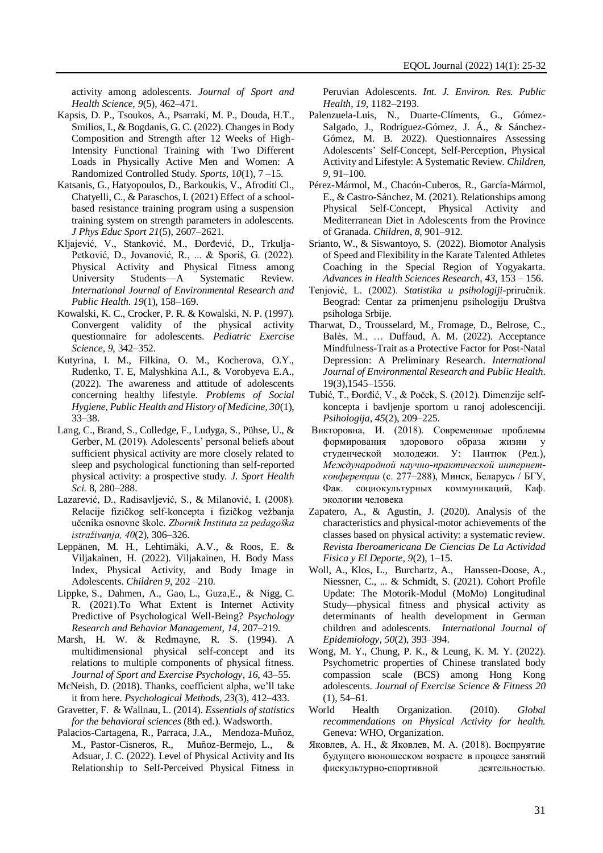activity among adolescents. *Journal of Sport and Health Science, 9*(5), 462–471.

- Kapsis, D. P., Tsoukos, A., Psarraki, M. P., Douda, H.T., Smilios, I., & Bogdanis, G. C. (2022). Changes in Body Composition and Strength after 12 Weeks of High-Intensity Functional Training with Two Different Loads in Physically Active Men and Women: A Randomized Controlled Study. *Sports*, 1*0*(1), 7 –15.
- Katsanis, G., Hatyopoulos, D., Barkoukis, V., Afroditi Cl., Chatyelli, C., & Paraschos, I. (2021) Effect of a schoolbased resistance training program using a suspension training system on strength parameters in adolescents. *J Phys Educ Sport 21*(5), 2607–2621.
- Kljajević, V., Stanković, M., Đorđević, D., Trkulja-Petković, D., Jovanović, R., ... & Sporiš, G. (2022). Physical Activity and Physical Fitness among University Students—A Systematic Review. *International Journal of Environmental Research and Public Health*. *19*(1), 158–169.
- Kowalski, K. C., Crocker, P. R. & Kowalski, N. P. (1997). Convergent validity of the physical activity questionnaire for adolescents. *Pediatric Exercise Science*, *9*, 342–352.
- Kutyrina, I. M., Filkina, O. M., Kocherova, O.Y., Rudenko, T. E, Malyshkina A.I., & Vorobyeva E.A., (2022). The awareness and attitude of adolescents concerning healthy lifestyle. *Problems of Social Hygiene, Public Health and History of Medicine, 30*(1), 33–38.
- Lang, C., Brand, S., Colledge, F., Ludyga, S., Pühse, U., & Gerber, M. (2019). Adolescents' personal beliefs about sufficient physical activity are more closely related to sleep and psychological functioning than self-reported physical activity: a prospective study. *J. Sport Health Sci.* 8, 280–288.
- Lazarević, D., Radisavljević, S., & Milanović, I. (2008). Relacije fizičkog self-koncepta i fizičkog vežbanja učenika osnovne škole. *Zbornik Instituta za pedagoška istraživanja, 40*(2), 306–326.
- Leppänen, M. H., Lehtimäki, A.V., & Roos, E. & Viljakainen, H. (2022). Viljakainen, H. Body Mass Index, Physical Activity, and Body Image in Adolescents. *Children 9*, 202 –210.
- [Lippke,](https://www.ncbi.nlm.nih.gov/pubmed/?term=Lippke%20S%5BAuthor%5D&cauthor=true&cauthor_uid=33642884) S., [Dahmen,](https://www.ncbi.nlm.nih.gov/pubmed/?term=Dahmen%20A%5BAuthor%5D&cauthor=true&cauthor_uid=33642884) [A., Gao,](https://www.ncbi.nlm.nih.gov/pubmed/?term=Gao%20L%5BAuthor%5D&cauthor=true&cauthor_uid=33642884) L., [Guza,](https://www.ncbi.nlm.nih.gov/pubmed/?term=Guza%20E%5BAuthor%5D&cauthor=true&cauthor_uid=33642884)E., [& Nigg,](https://www.ncbi.nlm.nih.gov/pubmed/?term=Nigg%20CR%5BAuthor%5D&cauthor=true&cauthor_uid=33642884) C. R. (2021).To What Extent is Internet Activity Predictive of Psychological Well-Being? *Psychology Research and Behavior Management, 14*, 207–219.
- Marsh, H. W. & Redmayne, R. S. (1994). A multidimensional physical self-concept and its relations to multiple components of physical fitness. *Journal of Sport and Exercise Psychology*, *16*, 43–55.
- McNeish, D. (2018). Thanks, coefficient alpha, we'll take it from here. *Psychological Methods, 23*(3), 412–433.
- Gravetter, F. & Wallnau, L. (2014). *Essentials of statistics for the behavioral sciences* (8th ed.). Wadsworth.
- Palacios-Cartagena, R., Parraca, J.A., Mendoza-Muñoz, M., Pastor-Cisneros, R., Muñoz-Bermejo, L., & Adsuar, J. C. (2022). Level of Physical Activity and Its Relationship to Self-Perceived Physical Fitness in

Peruvian Adolescents. *Int. J. Environ. Res. Public Health*, *19*, 1182–2193.

- Palenzuela-Luis, N., Duarte-Clíments, G., Gómez-Salgado, J., Rodríguez-Gómez, J. Á., & Sánchez-Gómez, M. B. 2022). Questionnaires Assessing Adolescents' Self-Concept, Self-Perception, Physical Activity and Lifestyle: A Systematic Review. *Children*, *9*, 91–100.
- Pérez-Mármol, M., Chacón-Cuberos, R., García-Mármol, E., & Castro-Sánchez, M. (2021). Relationships among Physical Self-Concept, Physical Activity and Mediterranean Diet in Adolescents from the Province of Granada. *Children*, *8*, 901–912.
- Srianto, W., & Siswantoyo, S. (2022). Biomotor Analysis of Speed and Flexibility in the Karate Talented Athletes Coaching in the Special Region of Yogyakarta. *Advances in Health Sciences Research, 43*, 153 *–* 156.
- Tenjović, L. (2002). *Statistika u psihologiji*-priručnik. Beograd: Centar za primenjenu psihologiju Društva psihologa Srbije.
- Tharwat, D., Trousselard, M., Fromage, D., Belrose, C., Balès, M., … Duffaud, A. M. (2022). Acceptance Mindfulness-Trait as a Protective Factor for Post-Natal Depression: A Preliminary Research. *International Journal of Environmental Research and Public Health*. 19(3),1545–1556.
- Tubić, T., Đorđić, V., & Poček, S. (2012). Dimenzije selfkoncepta i bavljenje sportom u ranoj adolescenciji. *Psihologija, 45*(2), 209–225.
- [Викторовна,](https://elib.bsu.by/browse?type=author&value=%D0%9F%D0%B0%D0%BD%D1%82%D1%8E%D0%BA%2C+%D0%98%D1%80%D0%B8%D0%BD%D0%B0+%D0%92%D0%B8%D0%BA%D1%82%D0%BE%D1%80%D0%BE%D0%B2%D0%BD%D0%B0) И. (2018). Современные проблемы формирования здорового образа жизни студенческой молодежи. У: Пантюк (Ред.), *Международной научно-практической интернетконференции* (с. 277–288), Минск, Беларусь / БГУ, Фак. социокультурных коммуникаций, Каф. экологии человека
- Zapatero, A., & Agustin, J. (2020). Analysis of the characteristics and physical-motor achievements of the classes based on physical activity: a systematic review. *Revista Iberoamericana De Ciencias De La Actividad Fisica y El Deporte, 9*(2), 1–15.
- [Woll,](javascript:;) A., [Klos,](javascript:;) L., [Burchartz,](javascript:;) A., [Hanssen-Doose,](javascript:;) A., Niessner, C., ... & Schmidt, S. (2021). Cohort Profile Update: The Motorik-Modul (MoMo) Longitudinal Study—physical fitness and physical activity as determinants of health development in German children and adolescents. *International Journal of Epidemiology*, *50*(2), 393–394.
- Wong, M. Y., [Chung,](https://www.sciencedirect.com/science/article/pii/S1728869X21000411#!) P. K., & Leung, K. M. Y. (2022). Psychometric properties of Chinese translated body compassion scale (BCS) among Hong Kong adolescents. *[Journal of Exercise Science & Fitness](https://www.sciencedirect.com/journal/journal-of-exercise-science-and-fitness) 20*  [\(1\)](https://www.sciencedirect.com/journal/journal-of-exercise-science-and-fitness/vol/20/issue/1), 54–61.
- World Health Organization. (2010). *Global recommendations on Physical Activity for health.*  Geneva: WHO, Organization.
- Яковлев, А. Н., & Яковлев, М. А. (2018). Воспруятие будущего вюношеском возрасте в процесе занятий фискультурно-спортивной деятельностью.